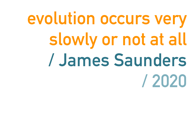## **evolution occurs very slowly or not at all / James Saunders / 2020**